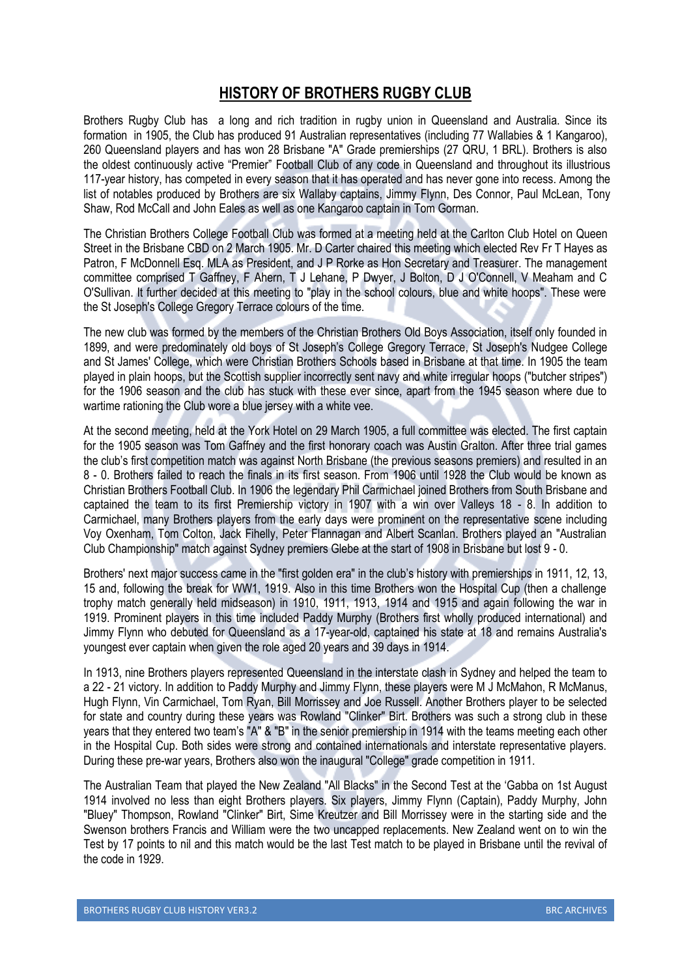## **HISTORY OF BROTHERS RUGBY CLUB**

Brothers Rugby Club has a long and rich tradition in rugby union in Queensland and Australia. Since its formation in 1905, the Club has produced 91 Australian representatives (including 77 Wallabies & 1 Kangaroo), 260 Queensland players and has won 28 Brisbane "A" Grade premierships (27 QRU, 1 BRL). Brothers is also the oldest continuously active "Premier" Football Club of any code in Queensland and throughout its illustrious 117-year history, has competed in every season that it has operated and has never gone into recess. Among the list of notables produced by Brothers are six Wallaby captains, Jimmy Flynn, Des Connor, Paul McLean, Tony Shaw, Rod McCall and John Eales as well as one Kangaroo captain in Tom Gorman.

The Christian Brothers College Football Club was formed at a meeting held at the Carlton Club Hotel on Queen Street in the Brisbane CBD on 2 March 1905. Mr. D Carter chaired this meeting which elected Rev Fr T Hayes as Patron, F McDonnell Esq. MLA as President, and J P Rorke as Hon Secretary and Treasurer. The management committee comprised T Gaffney, F Ahern, T J Lehane, P Dwyer, J Bolton, D J O'Connell, V Meaham and C O'Sullivan. It further decided at this meeting to "play in the school colours, blue and white hoops". These were the St Joseph's College Gregory Terrace colours of the time.

The new club was formed by the members of the Christian Brothers Old Boys Association, itself only founded in 1899, and were predominately old boys of St Joseph's College Gregory Terrace, St Joseph's Nudgee College and St James' College, which were Christian Brothers Schools based in Brisbane at that time. In 1905 the team played in plain hoops, but the Scottish supplier incorrectly sent navy and white irregular hoops ("butcher stripes") for the 1906 season and the club has stuck with these ever since, apart from the 1945 season where due to wartime rationing the Club wore a blue jersey with a white vee.

At the second meeting, held at the York Hotel on 29 March 1905, a full committee was elected. The first captain for the 1905 season was Tom Gaffney and the first honorary coach was Austin Gralton. After three trial games the club's first competition match was against North Brisbane (the previous seasons premiers) and resulted in an 8 - 0. Brothers failed to reach the finals in its first season. From 1906 until 1928 the Club would be known as Christian Brothers Football Club. In 1906 the legendary Phil Carmichael joined Brothers from South Brisbane and captained the team to its first Premiership victory in 1907 with a win over Valleys 18 - 8. In addition to Carmichael, many Brothers players from the early days were prominent on the representative scene including Voy Oxenham, Tom Colton, Jack Fihelly, Peter Flannagan and Albert Scanlan. Brothers played an "Australian Club Championship" match against Sydney premiers Glebe at the start of 1908 in Brisbane but lost 9 - 0.

Brothers' next major success came in the "first golden era" in the club's history with premierships in 1911, 12, 13, 15 and, following the break for WW1, 1919. Also in this time Brothers won the Hospital Cup (then a challenge trophy match generally held midseason) in 1910, 1911, 1913, 1914 and 1915 and again following the war in 1919. Prominent players in this time included Paddy Murphy (Brothers first wholly produced international) and Jimmy Flynn who debuted for Queensland as a 17-year-old, captained his state at 18 and remains Australia's youngest ever captain when given the role aged 20 years and 39 days in 1914.

In 1913, nine Brothers players represented Queensland in the interstate clash in Sydney and helped the team to a 22 - 21 victory. In addition to Paddy Murphy and Jimmy Flynn, these players were M J McMahon, R McManus, Hugh Flynn, Vin Carmichael, Tom Ryan, Bill Morrissey and Joe Russell. Another Brothers player to be selected for state and country during these years was Rowland "Clinker" Birt. Brothers was such a strong club in these years that they entered two team's "A" & "B" in the senior premiership in 1914 with the teams meeting each other in the Hospital Cup. Both sides were strong and contained internationals and interstate representative players. During these pre-war years, Brothers also won the inaugural "College" grade competition in 1911.

The Australian Team that played the New Zealand "All Blacks" in the Second Test at the 'Gabba on 1st August 1914 involved no less than eight Brothers players. Six players, Jimmy Flynn (Captain), Paddy Murphy, John "Bluey" Thompson, Rowland "Clinker" Birt, Sime Kreutzer and Bill Morrissey were in the starting side and the Swenson brothers Francis and William were the two uncapped replacements. New Zealand went on to win the Test by 17 points to nil and this match would be the last Test match to be played in Brisbane until the revival of the code in 1929.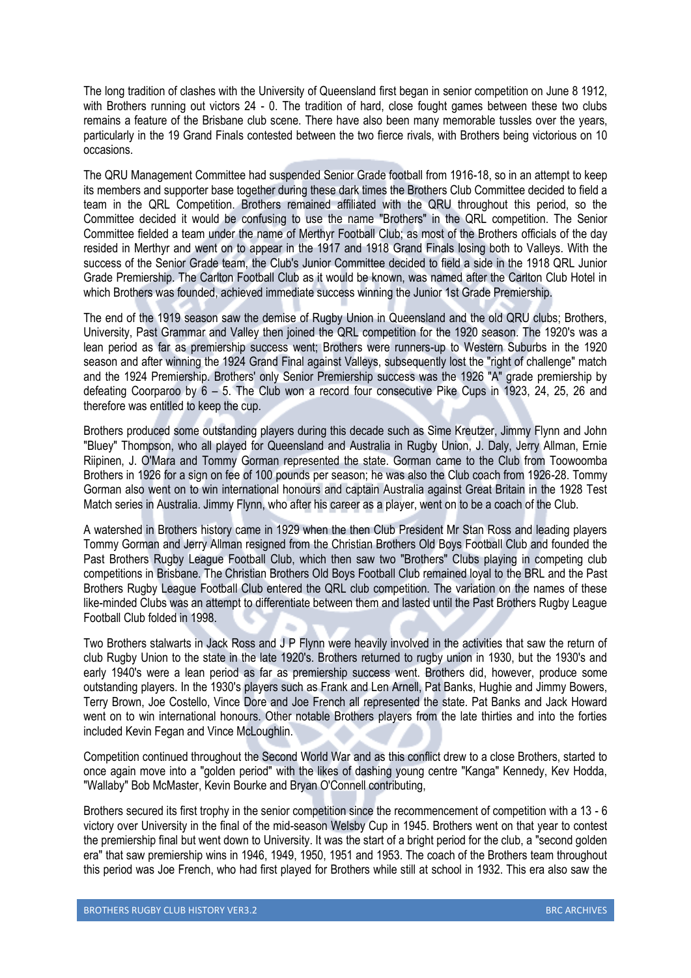The long tradition of clashes with the University of Queensland first began in senior competition on June 8 1912, with Brothers running out victors 24 - 0. The tradition of hard, close fought games between these two clubs remains a feature of the Brisbane club scene. There have also been many memorable tussles over the years, particularly in the 19 Grand Finals contested between the two fierce rivals, with Brothers being victorious on 10 occasions.

The QRU Management Committee had suspended Senior Grade football from 1916-18, so in an attempt to keep its members and supporter base together during these dark times the Brothers Club Committee decided to field a team in the QRL Competition. Brothers remained affiliated with the QRU throughout this period, so the Committee decided it would be confusing to use the name "Brothers" in the QRL competition. The Senior Committee fielded a team under the name of Merthyr Football Club; as most of the Brothers officials of the day resided in Merthyr and went on to appear in the 1917 and 1918 Grand Finals losing both to Valleys. With the success of the Senior Grade team, the Club's Junior Committee decided to field a side in the 1918 QRL Junior Grade Premiership. The Carlton Football Club as it would be known, was named after the Carlton Club Hotel in which Brothers was founded, achieved immediate success winning the Junior 1st Grade Premiership.

The end of the 1919 season saw the demise of Rugby Union in Queensland and the old QRU clubs; Brothers, University, Past Grammar and Valley then joined the QRL competition for the 1920 season. The 1920's was a lean period as far as premiership success went; Brothers were runners-up to Western Suburbs in the 1920 season and after winning the 1924 Grand Final against Valleys, subsequently lost the "right of challenge" match and the 1924 Premiership. Brothers' only Senior Premiership success was the 1926 "A" grade premiership by defeating Coorparoo by 6 – 5. The Club won a record four consecutive Pike Cups in 1923, 24, 25, 26 and therefore was entitled to keep the cup.

Brothers produced some outstanding players during this decade such as Sime Kreutzer, Jimmy Flynn and John "Bluey" Thompson, who all played for Queensland and Australia in Rugby Union, J. Daly, Jerry Allman, Ernie Riipinen, J. O'Mara and Tommy Gorman represented the state. Gorman came to the Club from Toowoomba Brothers in 1926 for a sign on fee of 100 pounds per season; he was also the Club coach from 1926-28. Tommy Gorman also went on to win international honours and captain Australia against Great Britain in the 1928 Test Match series in Australia. Jimmy Flynn, who after his career as a player, went on to be a coach of the Club.

A watershed in Brothers history came in 1929 when the then Club President Mr Stan Ross and leading players Tommy Gorman and Jerry Allman resigned from the Christian Brothers Old Boys Football Club and founded the Past Brothers Rugby League Football Club, which then saw two "Brothers" Clubs playing in competing club competitions in Brisbane. The Christian Brothers Old Boys Football Club remained loyal to the BRL and the Past Brothers Rugby League Football Club entered the QRL club competition. The variation on the names of these like-minded Clubs was an attempt to differentiate between them and lasted until the Past Brothers Rugby League Football Club folded in 1998.

Two Brothers stalwarts in Jack Ross and J P Flynn were heavily involved in the activities that saw the return of club Rugby Union to the state in the late 1920's. Brothers returned to rugby union in 1930, but the 1930's and early 1940's were a lean period as far as premiership success went. Brothers did, however, produce some outstanding players. In the 1930's players such as Frank and Len Arnell, Pat Banks, Hughie and Jimmy Bowers, Terry Brown, Joe Costello, Vince Dore and Joe French all represented the state. Pat Banks and Jack Howard went on to win international honours. Other notable Brothers players from the late thirties and into the forties included Kevin Fegan and Vince McLoughlin.

Competition continued throughout the Second World War and as this conflict drew to a close Brothers, started to once again move into a "golden period" with the likes of dashing young centre "Kanga" Kennedy, Kev Hodda, "Wallaby" Bob McMaster, Kevin Bourke and Bryan O'Connell contributing,

Brothers secured its first trophy in the senior competition since the recommencement of competition with a 13 - 6 victory over University in the final of the mid-season Welsby Cup in 1945. Brothers went on that year to contest the premiership final but went down to University. It was the start of a bright period for the club, a "second golden era" that saw premiership wins in 1946, 1949, 1950, 1951 and 1953. The coach of the Brothers team throughout this period was Joe French, who had first played for Brothers while still at school in 1932. This era also saw the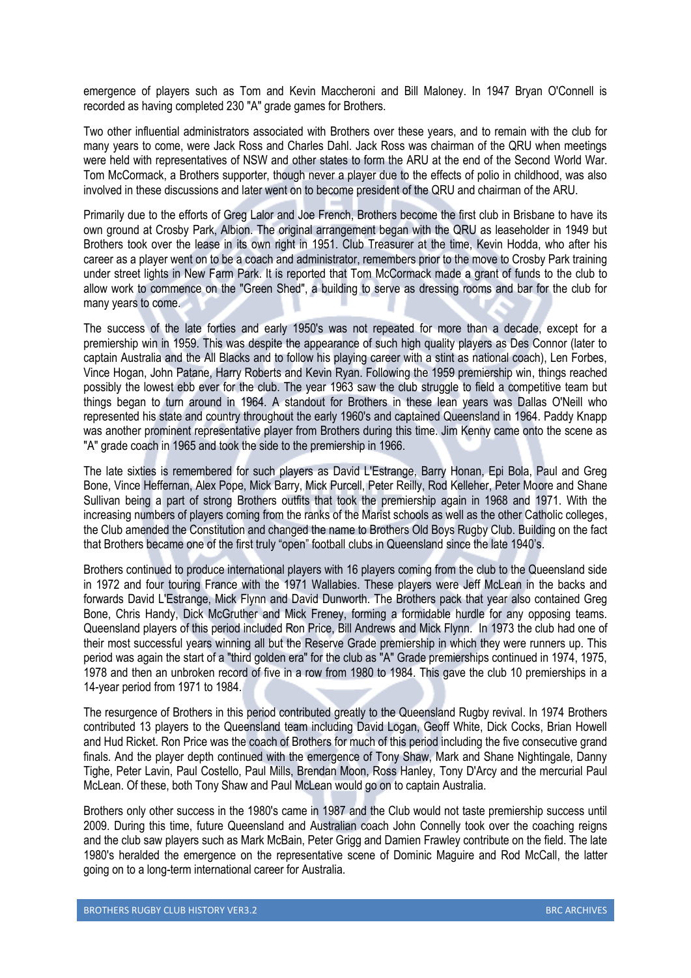emergence of players such as Tom and Kevin Maccheroni and Bill Maloney. In 1947 Bryan O'Connell is recorded as having completed 230 "A" grade games for Brothers.

Two other influential administrators associated with Brothers over these years, and to remain with the club for many years to come, were Jack Ross and Charles Dahl. Jack Ross was chairman of the QRU when meetings were held with representatives of NSW and other states to form the ARU at the end of the Second World War. Tom McCormack, a Brothers supporter, though never a player due to the effects of polio in childhood, was also involved in these discussions and later went on to become president of the QRU and chairman of the ARU.

Primarily due to the efforts of Greg Lalor and Joe French, Brothers become the first club in Brisbane to have its own ground at Crosby Park, Albion. The original arrangement began with the QRU as leaseholder in 1949 but Brothers took over the lease in its own right in 1951. Club Treasurer at the time, Kevin Hodda, who after his career as a player went on to be a coach and administrator, remembers prior to the move to Crosby Park training under street lights in New Farm Park. It is reported that Tom McCormack made a grant of funds to the club to allow work to commence on the "Green Shed", a building to serve as dressing rooms and bar for the club for many years to come.

The success of the late forties and early 1950's was not repeated for more than a decade, except for a premiership win in 1959. This was despite the appearance of such high quality players as Des Connor (later to captain Australia and the All Blacks and to follow his playing career with a stint as national coach), Len Forbes, Vince Hogan, John Patane, Harry Roberts and Kevin Ryan. Following the 1959 premiership win, things reached possibly the lowest ebb ever for the club. The year 1963 saw the club struggle to field a competitive team but things began to turn around in 1964. A standout for Brothers in these lean years was Dallas O'Neill who represented his state and country throughout the early 1960's and captained Queensland in 1964. Paddy Knapp was another prominent representative player from Brothers during this time. Jim Kenny came onto the scene as "A" grade coach in 1965 and took the side to the premiership in 1966.

The late sixties is remembered for such players as David L'Estrange, Barry Honan, Epi Bola, Paul and Greg Bone, Vince Heffernan, Alex Pope, Mick Barry, Mick Purcell, Peter Reilly, Rod Kelleher, Peter Moore and Shane Sullivan being a part of strong Brothers outfits that took the premiership again in 1968 and 1971. With the increasing numbers of players coming from the ranks of the Marist schools as well as the other Catholic colleges, the Club amended the Constitution and changed the name to Brothers Old Boys Rugby Club. Building on the fact that Brothers became one of the first truly "open" football clubs in Queensland since the late 1940's.

Brothers continued to produce international players with 16 players coming from the club to the Queensland side in 1972 and four touring France with the 1971 Wallabies. These players were Jeff McLean in the backs and forwards David L'Estrange, Mick Flynn and David Dunworth. The Brothers pack that year also contained Greg Bone, Chris Handy, Dick McGruther and Mick Freney, forming a formidable hurdle for any opposing teams. Queensland players of this period included Ron Price, Bill Andrews and Mick Flynn. In 1973 the club had one of their most successful years winning all but the Reserve Grade premiership in which they were runners up. This period was again the start of a "third golden era" for the club as "A" Grade premierships continued in 1974, 1975, 1978 and then an unbroken record of five in a row from 1980 to 1984. This gave the club 10 premierships in a 14-year period from 1971 to 1984.

The resurgence of Brothers in this period contributed greatly to the Queensland Rugby revival. In 1974 Brothers contributed 13 players to the Queensland team including David Logan, Geoff White, Dick Cocks, Brian Howell and Hud Ricket. Ron Price was the coach of Brothers for much of this period including the five consecutive grand finals. And the player depth continued with the emergence of Tony Shaw, Mark and Shane Nightingale, Danny Tighe, Peter Lavin, Paul Costello, Paul Mills, Brendan Moon, Ross Hanley, Tony D'Arcy and the mercurial Paul McLean. Of these, both Tony Shaw and Paul McLean would go on to captain Australia.

Brothers only other success in the 1980's came in 1987 and the Club would not taste premiership success until 2009. During this time, future Queensland and Australian coach John Connelly took over the coaching reigns and the club saw players such as Mark McBain, Peter Grigg and Damien Frawley contribute on the field. The late 1980's heralded the emergence on the representative scene of Dominic Maguire and Rod McCall, the latter going on to a long-term international career for Australia.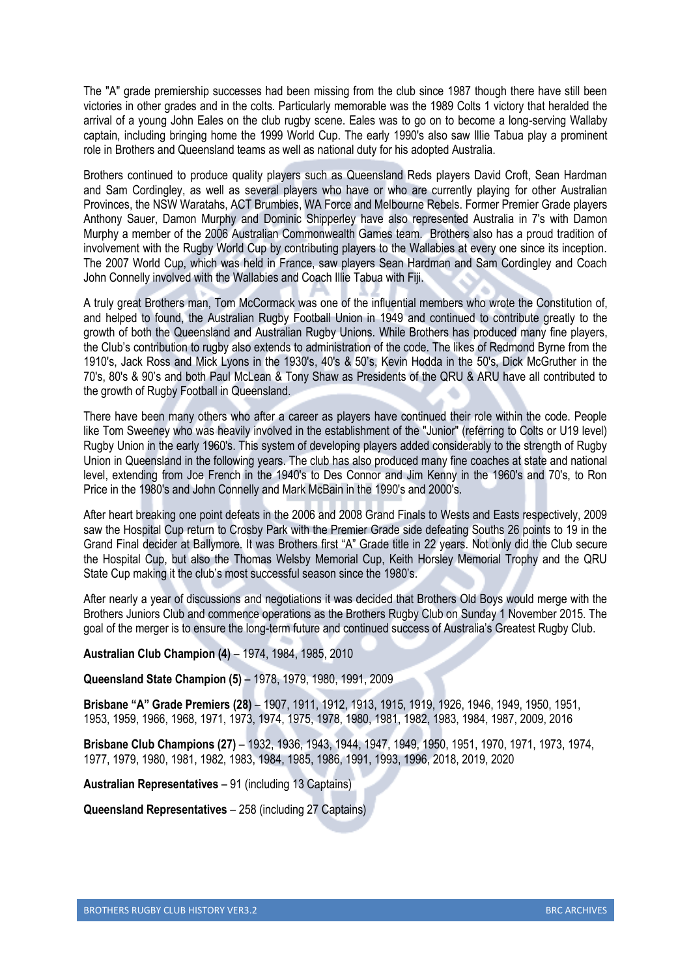The "A" grade premiership successes had been missing from the club since 1987 though there have still been victories in other grades and in the colts. Particularly memorable was the 1989 Colts 1 victory that heralded the arrival of a young John Eales on the club rugby scene. Eales was to go on to become a long-serving Wallaby captain, including bringing home the 1999 World Cup. The early 1990's also saw Illie Tabua play a prominent role in Brothers and Queensland teams as well as national duty for his adopted Australia.

Brothers continued to produce quality players such as Queensland Reds players David Croft, Sean Hardman and Sam Cordingley, as well as several players who have or who are currently playing for other Australian Provinces, the NSW Waratahs, ACT Brumbies, WA Force and Melbourne Rebels. Former Premier Grade players Anthony Sauer, Damon Murphy and Dominic Shipperley have also represented Australia in 7's with Damon Murphy a member of the 2006 Australian Commonwealth Games team. Brothers also has a proud tradition of involvement with the Rugby World Cup by contributing players to the Wallabies at every one since its inception. The 2007 World Cup, which was held in France, saw players Sean Hardman and Sam Cordingley and Coach John Connelly involved with the Wallabies and Coach Illie Tabua with Fiji.

A truly great Brothers man, Tom McCormack was one of the influential members who wrote the Constitution of, and helped to found, the Australian Rugby Football Union in 1949 and continued to contribute greatly to the growth of both the Queensland and Australian Rugby Unions. While Brothers has produced many fine players, the Club's contribution to rugby also extends to administration of the code. The likes of Redmond Byrne from the 1910's, Jack Ross and Mick Lyons in the 1930's, 40's & 50's, Kevin Hodda in the 50's, Dick McGruther in the 70's, 80's & 90's and both Paul McLean & Tony Shaw as Presidents of the QRU & ARU have all contributed to the growth of Rugby Football in Queensland.

There have been many others who after a career as players have continued their role within the code. People like Tom Sweeney who was heavily involved in the establishment of the "Junior" (referring to Colts or U19 level) Rugby Union in the early 1960's. This system of developing players added considerably to the strength of Rugby Union in Queensland in the following years. The club has also produced many fine coaches at state and national level, extending from Joe French in the 1940's to Des Connor and Jim Kenny in the 1960's and 70's, to Ron Price in the 1980's and John Connelly and Mark McBain in the 1990's and 2000's.

After heart breaking one point defeats in the 2006 and 2008 Grand Finals to Wests and Easts respectively, 2009 saw the Hospital Cup return to Crosby Park with the Premier Grade side defeating Souths 26 points to 19 in the Grand Final decider at Ballymore. It was Brothers first "A" Grade title in 22 years. Not only did the Club secure the Hospital Cup, but also the Thomas Welsby Memorial Cup, Keith Horsley Memorial Trophy and the QRU State Cup making it the club's most successful season since the 1980's.

After nearly a year of discussions and negotiations it was decided that Brothers Old Boys would merge with the Brothers Juniors Club and commence operations as the Brothers Rugby Club on Sunday 1 November 2015. The goal of the merger is to ensure the long-term future and continued success of Australia's Greatest Rugby Club.

## **Australian Club Champion (4)** – 1974, 1984, 1985, 2010

**Queensland State Champion (5)** – 1978, 1979, 1980, 1991, 2009

**Brisbane "A" Grade Premiers (28)** – 1907, 1911, 1912, 1913, 1915, 1919, 1926, 1946, 1949, 1950, 1951, 1953, 1959, 1966, 1968, 1971, 1973, 1974, 1975, 1978, 1980, 1981, 1982, 1983, 1984, 1987, 2009, 2016

**Brisbane Club Champions (27)** – 1932, 1936, 1943, 1944, 1947, 1949, 1950, 1951, 1970, 1971, 1973, 1974, 1977, 1979, 1980, 1981, 1982, 1983, 1984, 1985, 1986, 1991, 1993, 1996, 2018, 2019, 2020

**Australian Representatives** – 91 (including 13 Captains)

**Queensland Representatives** – 258 (including 27 Captains)